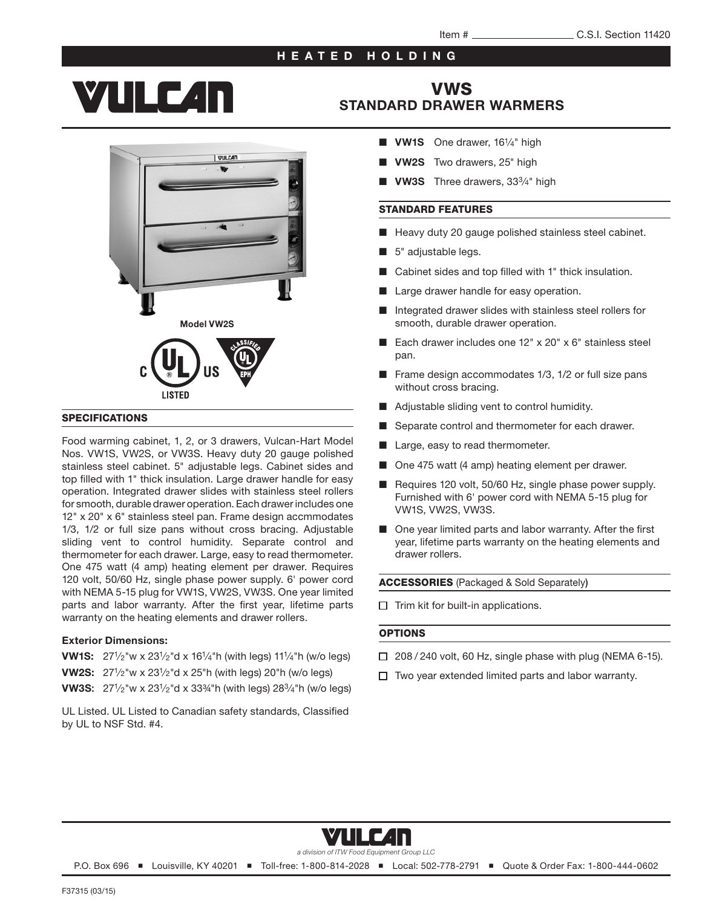### HEATED HOLDING

## **YULC4n**



#### **SPECIFICATIONS**

Food warming cabinet, 1, 2, or 3 drawers, Vulcan-Hart Model Nos. VW1S, VW2S, or VW3S. Heavy duty 20 gauge polished stainless steel cabinet. 5" adjustable legs. Cabinet sides and top filled with 1" thick insulation. Large drawer handle for easy operation. Integrated drawer slides with stainless steel rollers for smooth, durable drawer operation. Each drawer includes one 12" x 20" x 6" stainless steel pan. Frame design accmmodates 1/3, 1/2 or full size pans without cross bracing. Adjustable sliding vent to control humidity. Separate control and thermometer for each drawer. Large, easy to read thermometer. One 475 watt (4 amp) heating element per drawer. Requires 120 volt, 50/60 Hz, single phase power supply. 6' power cord with NEMA 5-15 plug for VW1S, VW2S, VW3S. One year limited parts and labor warranty. After the first year, lifetime parts warranty on the heating elements and drawer rollers.

#### Exterior Dimensions:

- VW1S: 271⁄2"w x 231⁄2"d x 161⁄4"h (with legs) 111⁄4"h (w/o legs)
- VW2S: 271⁄2"w x 231⁄2"d x 25"h (with legs) 20"h (w/o legs)
- VW3S: 271⁄2"w x 231⁄2"d x 33¾"h (with legs) 283⁄4"h (w/o legs)

UL Listed. UL Listed to Canadian safety standards, Classified by UL to NSF Std. #4.

## VWS [STANDARD DRAWER WARMERS](http://vulcanequipment.com/Products/Standard-Built-In-Freestanding-Drawer-Warmers/)

- VW1S One drawer, 16<sup>1</sup>/4" high
- **VW2S** Two drawers, 25" high
- VW3S Three drawers, 33<sup>3</sup>/<sub>4</sub>" high

#### STANDARD FEATURES

- Heavy duty 20 gauge polished stainless steel cabinet.
- 5" adjustable legs.
- Cabinet sides and top filled with 1" thick insulation.
- Large drawer handle for easy operation.
- Integrated drawer slides with stainless steel rollers for smooth, durable drawer operation.
- Each drawer includes one 12" x 20" x 6" stainless steel pan.
- Frame design accommodates 1/3, 1/2 or full size pans without cross bracing.
- Adjustable sliding vent to control humidity.
- Separate control and thermometer for each drawer.
- Large, easy to read thermometer.
- One 475 watt (4 amp) heating element per drawer.
- Requires 120 volt, 50/60 Hz, single phase power supply. Furnished with 6' power cord with NEMA 5-15 plug for VW1S, VW2S, VW3S.
- One year limited parts and labor warranty. After the first year, lifetime parts warranty on the heating elements and drawer rollers.

ACCESSORIES (Packaged & Sold Separately)

 $\Box$  Trim kit for built-in applications.

#### **OPTIONS**

- $\Box$  208 / 240 volt, 60 Hz, single phase with plug (NEMA 6-15).
- $\Box$  Two year extended limited parts and labor warranty.